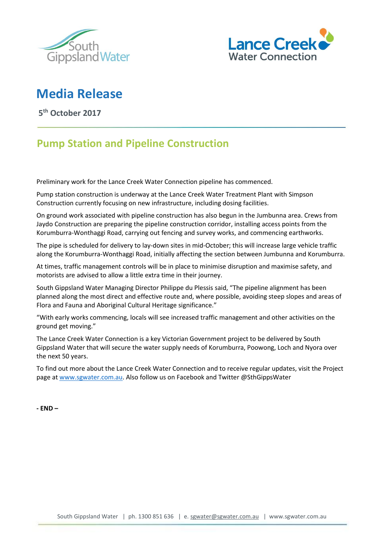



## **Media Release**

**5 th October 2017**

## **Pump Station and Pipeline Construction**

Preliminary work for the Lance Creek Water Connection pipeline has commenced.

Pump station construction is underway at the Lance Creek Water Treatment Plant with Simpson Construction currently focusing on new infrastructure, including dosing facilities.

On ground work associated with pipeline construction has also begun in the Jumbunna area. Crews from Jaydo Construction are preparing the pipeline construction corridor, installing access points from the Korumburra-Wonthaggi Road, carrying out fencing and survey works, and commencing earthworks.

The pipe is scheduled for delivery to lay-down sites in mid-October; this will increase large vehicle traffic along the Korumburra-Wonthaggi Road, initially affecting the section between Jumbunna and Korumburra.

At times, traffic management controls will be in place to minimise disruption and maximise safety, and motorists are advised to allow a little extra time in their journey.

South Gippsland Water Managing Director Philippe du Plessis said, "The pipeline alignment has been planned along the most direct and effective route and, where possible, avoiding steep slopes and areas of Flora and Fauna and Aboriginal Cultural Heritage significance."

"With early works commencing, locals will see increased traffic management and other activities on the ground get moving."

The Lance Creek Water Connection is a key Victorian Government project to be delivered by South Gippsland Water that will secure the water supply needs of Korumburra, Poowong, Loch and Nyora over the next 50 years.

To find out more about the Lance Creek Water Connection and to receive regular updates, visit the Project page at [www.sgwater.com.au.](http://www.sgwater.com.au/) Also follow us on Facebook and Twitter @SthGippsWater

**- END –**